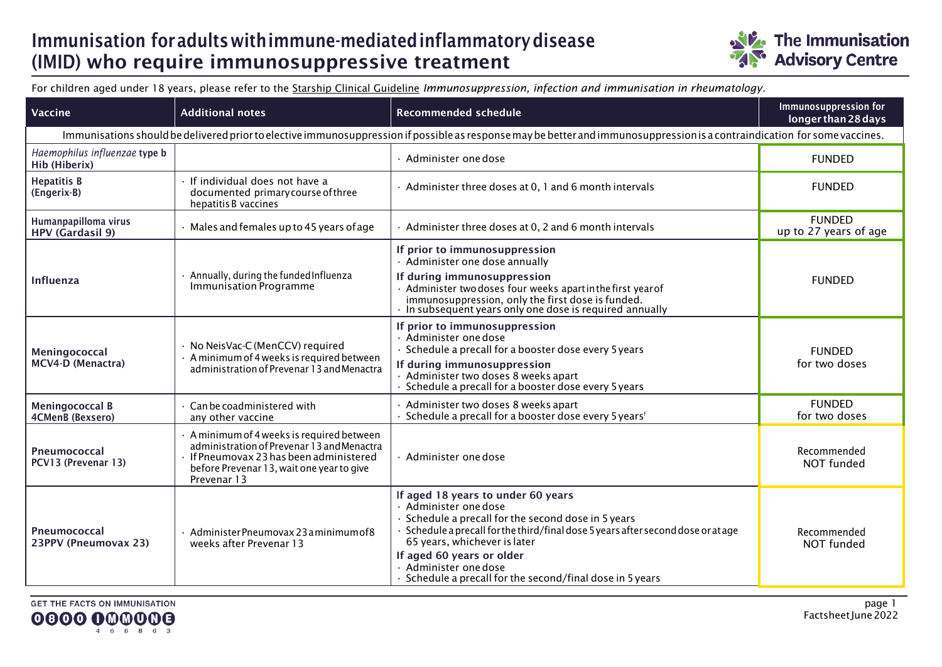## Immunisation foradultswithimmune-mediatedinflammatorydisease (IMID) who require immunosuppressive treatment



For children aged under 18 years, please refer to the [Starship Clinical Guideline](https://www.starship.org.nz/guidelines/immunosuppression-infection-and-immunisation-in-rheumatology) *[Im](https://www.starship.org.nz/guidelines/immunosuppression-infection-and-immunisation-in-rheumatology)munosuppression, infection and immunisation in rheumatology*.

| Vaccine                                                                                                                                                                    | <b>Additional notes</b>                                                                                                                                                                             | <b>Recommended schedule</b>                                                                                                                                                                                                                                                                                                                            | Immunosuppression for<br>longer than 28 days |  |
|----------------------------------------------------------------------------------------------------------------------------------------------------------------------------|-----------------------------------------------------------------------------------------------------------------------------------------------------------------------------------------------------|--------------------------------------------------------------------------------------------------------------------------------------------------------------------------------------------------------------------------------------------------------------------------------------------------------------------------------------------------------|----------------------------------------------|--|
| Immunisations should be delivered prior to elective immunosuppression if possible as response may be better and immunosuppression is a contraindication for some vaccines. |                                                                                                                                                                                                     |                                                                                                                                                                                                                                                                                                                                                        |                                              |  |
| Haemophilus influenzae type b<br>Hib (Hiberix)                                                                                                                             |                                                                                                                                                                                                     | Administer one dose                                                                                                                                                                                                                                                                                                                                    | <b>FUNDED</b>                                |  |
| <b>Hepatitis B</b><br>(Engerix-B)                                                                                                                                          | · If individual does not have a<br>documented primary course of three<br>hepatitis B vaccines                                                                                                       | Administer three doses at 0, 1 and 6 month intervals                                                                                                                                                                                                                                                                                                   | <b>FUNDED</b>                                |  |
| Humanpapilloma virus<br><b>HPV</b> (Gardasil 9)                                                                                                                            | · Males and females up to 45 years of age                                                                                                                                                           | Administer three doses at 0, 2 and 6 month intervals                                                                                                                                                                                                                                                                                                   | <b>FUNDED</b><br>up to 27 years of age       |  |
| <b>Influenza</b>                                                                                                                                                           | · Annually, during the funded Influenza<br><b>Immunisation Programme</b>                                                                                                                            | If prior to immunosuppression<br>· Administer one dose annually<br>If during immunosuppression                                                                                                                                                                                                                                                         | <b>FUNDED</b>                                |  |
|                                                                                                                                                                            |                                                                                                                                                                                                     | Administer two doses four weeks apartin the first year of<br>immunosuppression, only the first dose is funded.<br>In subsequent years only one dose is required annually                                                                                                                                                                               |                                              |  |
| Meningococcal<br>MCV4-D (Menactra)                                                                                                                                         | · No NeisVac-C (MenCCV) required<br>· A minimum of 4 weeks is required between<br>administration of Prevenar 13 and Menactra                                                                        | If prior to immunosuppression<br>· Administer one dose<br>Schedule a precall for a booster dose every 5 years<br>If during immunosuppression<br>Administer two doses 8 weeks apart<br>Schedule a precall for a booster dose every 5 years                                                                                                              | <b>FUNDED</b><br>for two doses               |  |
| <b>Meningococcal B</b><br>4CMenB (Bexsero)                                                                                                                                 | Can be coadministered with<br>any other vaccine                                                                                                                                                     | Administer two doses 8 weeks apart<br>Schedule a precall for a booster dose every 5 years <sup>f</sup>                                                                                                                                                                                                                                                 | <b>FUNDED</b><br>for two doses               |  |
| Pneumococcal<br>PCV13 (Prevenar 13)                                                                                                                                        | A minimum of 4 weeks is required between<br>administration of Prevenar 13 and Menactra<br>$\cdot$ If Pneumovax 23 has been administered<br>before Prevenar 13, wait one year to give<br>Prevenar 13 | Administer one dose                                                                                                                                                                                                                                                                                                                                    | Recommended<br>NOT funded                    |  |
| Pneumococcal<br>23PPV (Pneumovax 23)                                                                                                                                       | · Administer Pneumovax 23 a minimum of 8<br>weeks after Prevenar 13                                                                                                                                 | If aged 18 years to under 60 years<br>· Administer one dose<br>Schedule a precall for the second dose in 5 years<br>Schedule a precall for the third/final dose 5 years after second dose or at age<br>65 years, whichever is later<br>If aged 60 years or older<br>· Administer one dose<br>· Schedule a precall for the second/final dose in 5 years | Recommended<br>NOT funded                    |  |